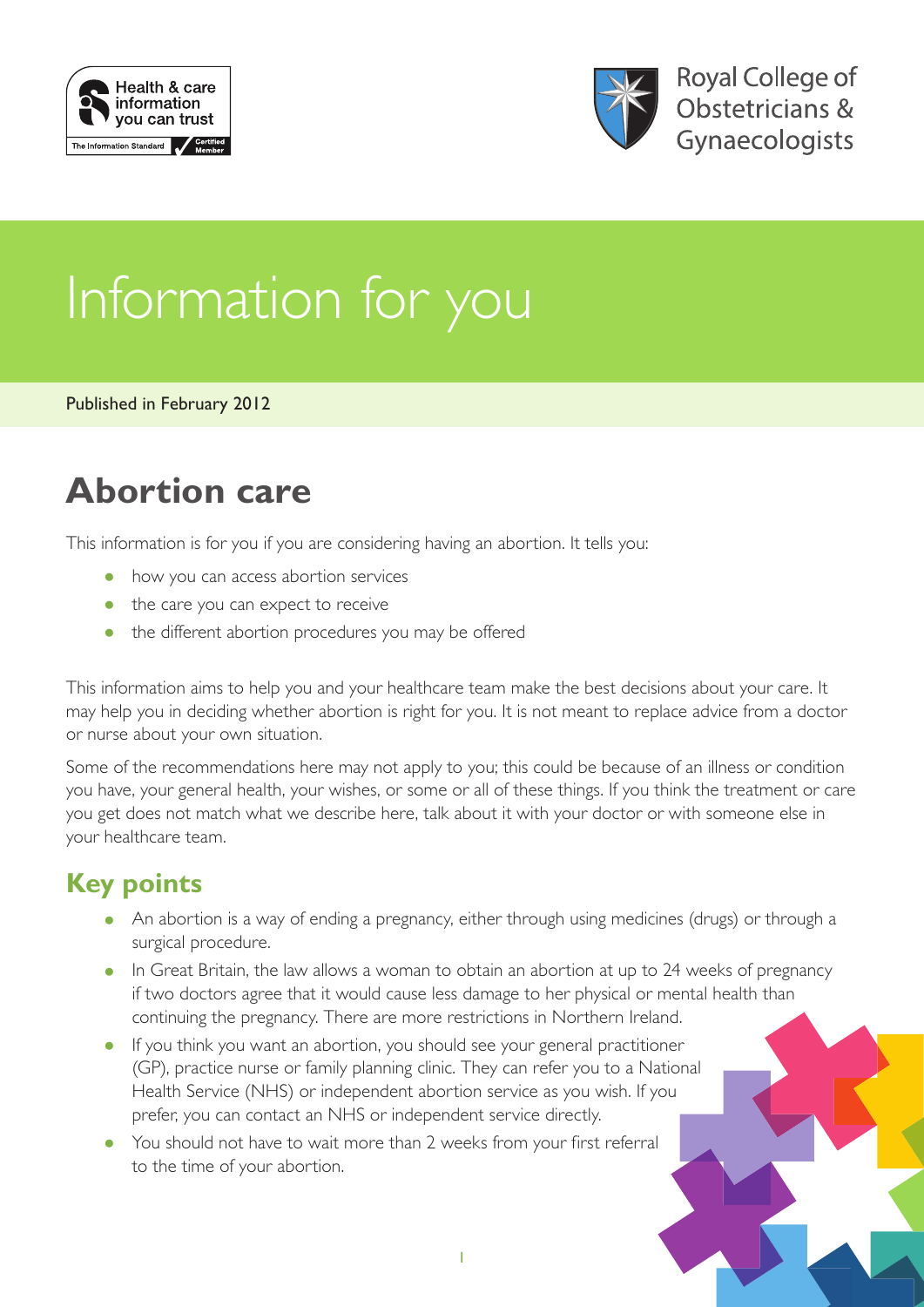



# Information for you

Published in February 2012

## **Abortion care**

This information is for you if you are considering having an abortion. It tells you:

- how you can access abortion services
- the care you can expect to receive
- the different abortion procedures you may be offered

This information aims to help you and your healthcare team make the best decisions about your care. It may help you in deciding whether abortion is right for you. It is not meant to replace advice from a doctor or nurse about your own situation.

Some of the recommendations here may not apply to you; this could be because of an illness or condition you have, your general health, your wishes, or some or all of these things. If you think the treatment or care you get does not match what we describe here, talk about it with your doctor or with someone else in your healthcare team.

## **Key points**

- An abortion is a way of ending a pregnancy, either through using medicines (drugs) or through a surgical procedure.
- In Great Britain, the law allows a woman to obtain an abortion at up to 24 weeks of pregnancy if two doctors agree that it would cause less damage to her physical or mental health than continuing the pregnancy. There are more restrictions in Northern Ireland.
- If you think you want an abortion, you should see your general practitioner (GP), practice nurse or family planning clinic. They can refer you to a National Health Service (NHS) or independent abortion service as you wish. If you prefer, you can contact an NHS or independent service directly.
- You should not have to wait more than 2 weeks from your first referral to the time of your abortion.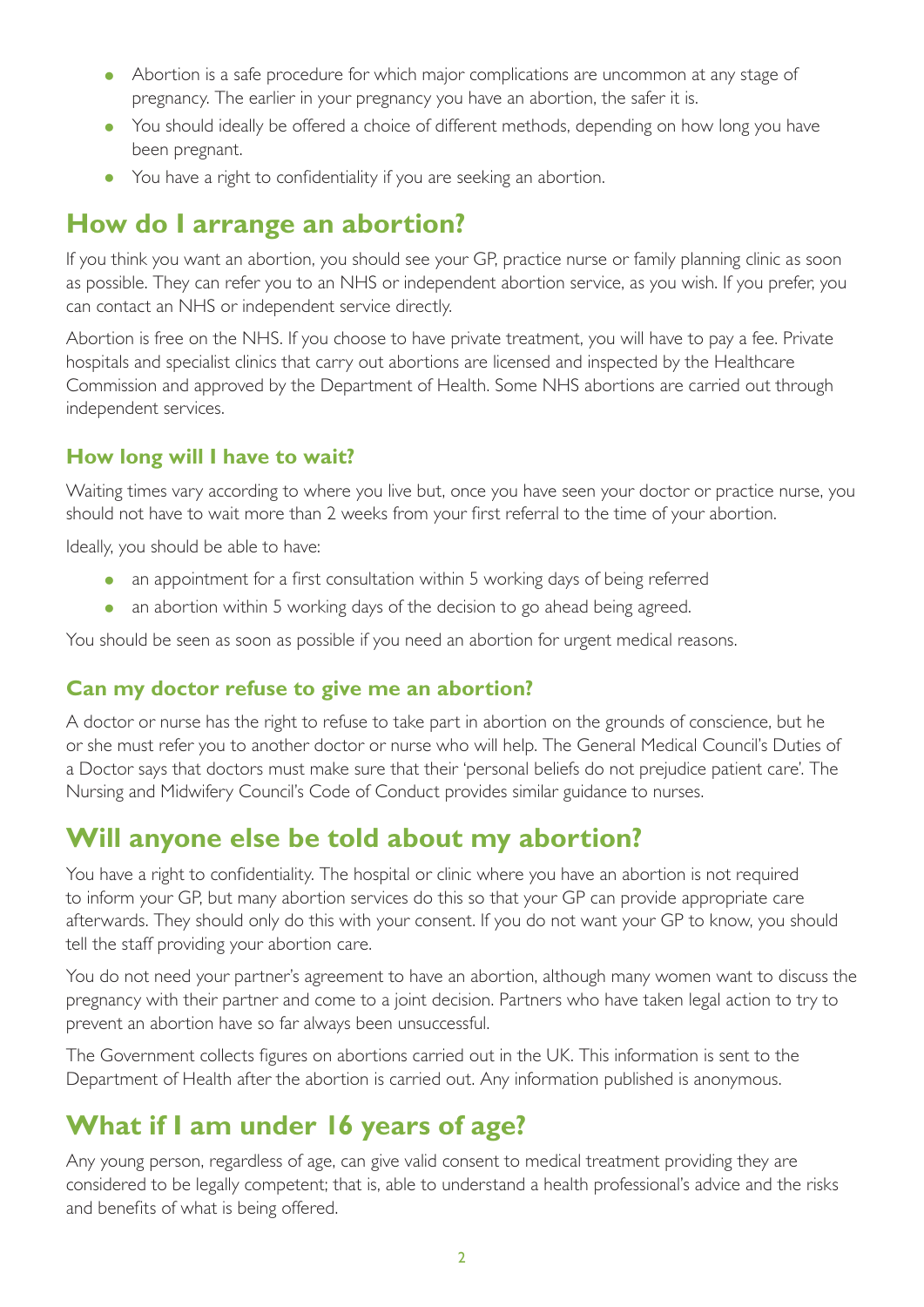- Abortion is a safe procedure for which major complications are uncommon at any stage of pregnancy. The earlier in your pregnancy you have an abortion, the safer it is.
- You should ideally be offered a choice of different methods, depending on how long you have been pregnant.
- You have a right to confidentiality if you are seeking an abortion.

### **How do I arrange an abortion?**

If you think you want an abortion, you should see your GP, practice nurse or family planning clinic as soon as possible. They can refer you to an NHS or independent abortion service, as you wish. If you prefer, you can contact an NHS or independent service directly.

Abortion is free on the NHS. If you choose to have private treatment, you will have to pay a fee. Private hospitals and specialist clinics that carry out abortions are licensed and inspected by the Healthcare Commission and approved by the Department of Health. Some NHS abortions are carried out through independent services.

#### **How long will I have to wait?**

Waiting times vary according to where you live but, once you have seen your doctor or practice nurse, you should not have to wait more than 2 weeks from your first referral to the time of your abortion.

Ideally, you should be able to have:

- an appointment for a first consultation within 5 working days of being referred
- an abortion within 5 working days of the decision to go ahead being agreed.

You should be seen as soon as possible if you need an abortion for urgent medical reasons.

#### **Can my doctor refuse to give me an abortion?**

A doctor or nurse has the right to refuse to take part in abortion on the grounds of conscience, but he or she must refer you to another doctor or nurse who will help. The General Medical Council's Duties of a Doctor says that doctors must make sure that their 'personal beliefs do not prejudice patient care'. The Nursing and Midwifery Council's Code of Conduct provides similar guidance to nurses.

## **Will anyone else be told about my abortion?**

You have a right to confidentiality. The hospital or clinic where you have an abortion is not required to inform your GP, but many abortion services do this so that your GP can provide appropriate care afterwards. They should only do this with your consent. If you do not want your GP to know, you should tell the staff providing your abortion care.

You do not need your partner's agreement to have an abortion, although many women want to discuss the pregnancy with their partner and come to a joint decision. Partners who have taken legal action to try to prevent an abortion have so far always been unsuccessful.

The Government collects figures on abortions carried out in the UK. This information is sent to the Department of Health after the abortion is carried out. Any information published is anonymous.

## **What if I am under 16 years of age?**

Any young person, regardless of age, can give valid consent to medical treatment providing they are considered to be legally competent; that is, able to understand a health professional's advice and the risks and benefits of what is being offered.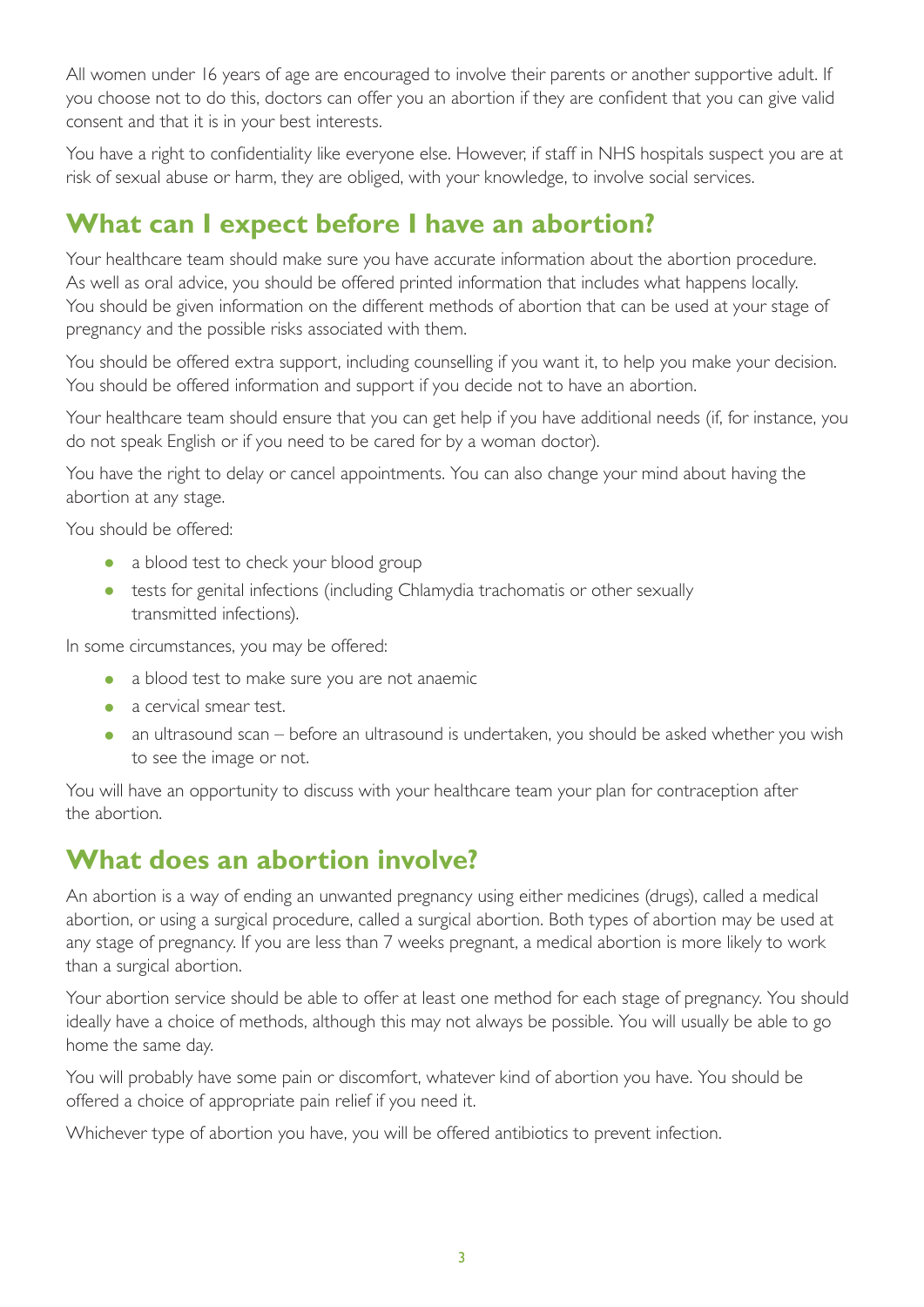All women under 16 years of age are encouraged to involve their parents or another supportive adult. If you choose not to do this, doctors can offer you an abortion if they are confident that you can give valid consent and that it is in your best interests.

You have a right to confidentiality like everyone else. However, if staff in NHS hospitals suspect you are at risk of sexual abuse or harm, they are obliged, with your knowledge, to involve social services.

## **What can I expect before I have an abortion?**

Your healthcare team should make sure you have accurate information about the abortion procedure. As well as oral advice, you should be offered printed information that includes what happens locally. You should be given information on the different methods of abortion that can be used at your stage of pregnancy and the possible risks associated with them.

You should be offered extra support, including counselling if you want it, to help you make your decision. You should be offered information and support if you decide not to have an abortion.

Your healthcare team should ensure that you can get help if you have additional needs (if, for instance, you do not speak English or if you need to be cared for by a woman doctor).

You have the right to delay or cancel appointments. You can also change your mind about having the abortion at any stage.

You should be offered:

- a blood test to check your blood group
- tests for genital infections (including Chlamydia trachomatis or other sexually transmitted infections).

In some circumstances, you may be offered:

- a blood test to make sure you are not anaemic
- a cervical smear test.
- an ultrasound scan before an ultrasound is undertaken, you should be asked whether you wish to see the image or not.

You will have an opportunity to discuss with your healthcare team your plan for contraception after the abortion.

## **What does an abortion involve?**

An abortion is a way of ending an unwanted pregnancy using either medicines (drugs), called a medical abortion, or using a surgical procedure, called a surgical abortion. Both types of abortion may be used at any stage of pregnancy. If you are less than 7 weeks pregnant, a medical abortion is more likely to work than a surgical abortion.

Your abortion service should be able to offer at least one method for each stage of pregnancy. You should ideally have a choice of methods, although this may not always be possible. You will usually be able to go home the same day.

You will probably have some pain or discomfort, whatever kind of abortion you have. You should be offered a choice of appropriate pain relief if you need it.

Whichever type of abortion you have, you will be offered antibiotics to prevent infection.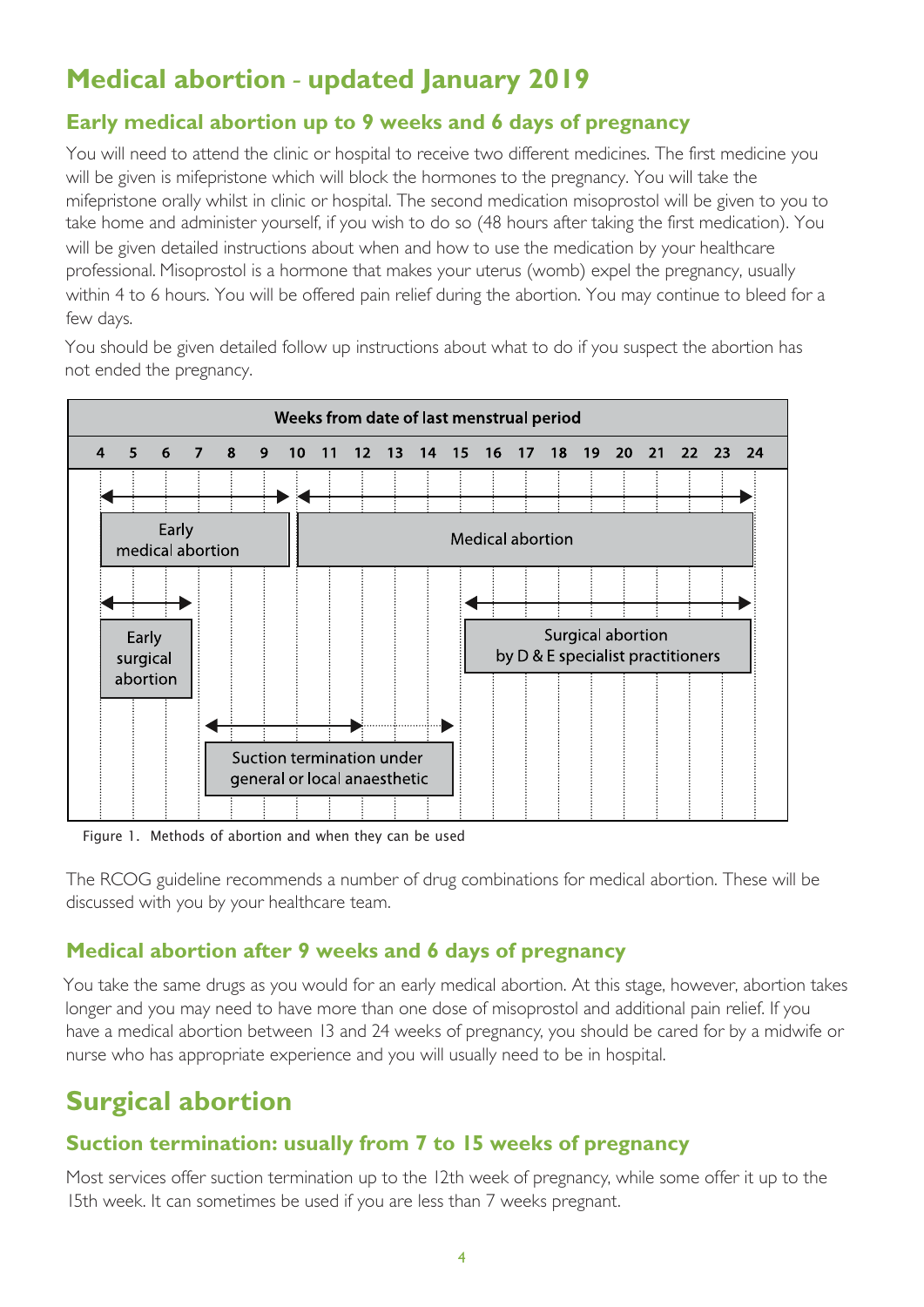## **Medical abortion - updated January 2019**

#### **Early medical abortion up to 9 weeks and 6 days of pregnancy**

You will need to attend the clinic or hospital to receive two different medicines. The first medicine you will be given is mifepristone which will block the hormones to the pregnancy. You will take the mifepristone orally whilst in clinic or hospital. The second medication misoprostol will be given to you to take home and administer yourself, if you wish to do so (48 hours after taking the first medication). You will be given detailed instructions about when and how to use the medication by your healthcare professional. Misoprostol is a hormone that makes your uterus (womb) expel the pregnancy, usually within 4 to 6 hours. You will be offered pain relief during the abortion. You may continue to bleed for a few days.

You should be given detailed follow up instructions about what to do if you suspect the abortion has not ended the pregnancy.



Figure 1. Methods of abortion and when they can be used

The RCOG guideline recommends a number of drug combinations for medical abortion. These will be discussed with you by your healthcare team.

#### **Medical abortion after 9 weeks and 6 days of pregnancy Medical abortion after 9 weeks of pregnancy**  $Y$  to take the same drugs as  $Y$  would find  $Y$  and  $Y$  and  $Y$  or  $Y$  the stage,  $Y$

You take the same drugs as you would for an early medical abortion. At this stage, however, abortion takes longer and you may need to have more than one dose of misoprostol and additional pain relief. If you have a medical abortion between 13 and 24 weeks of pregnancy, you should be cared for by a midwife or nurse who has appropriate experience and you will usually need to be in hospital. has appropriate experience and you will usually need to be in hospital.

## **Surgical abortion**

#### **Suction termination: usually from 7 to 15 weeks of pregnancy Surgical abortion**

Most services offer suction termination up to the 12th week of pregnancy, while some offer it up to the 15th week. It can sometimes be used if you are less than 7 weeks pregnant.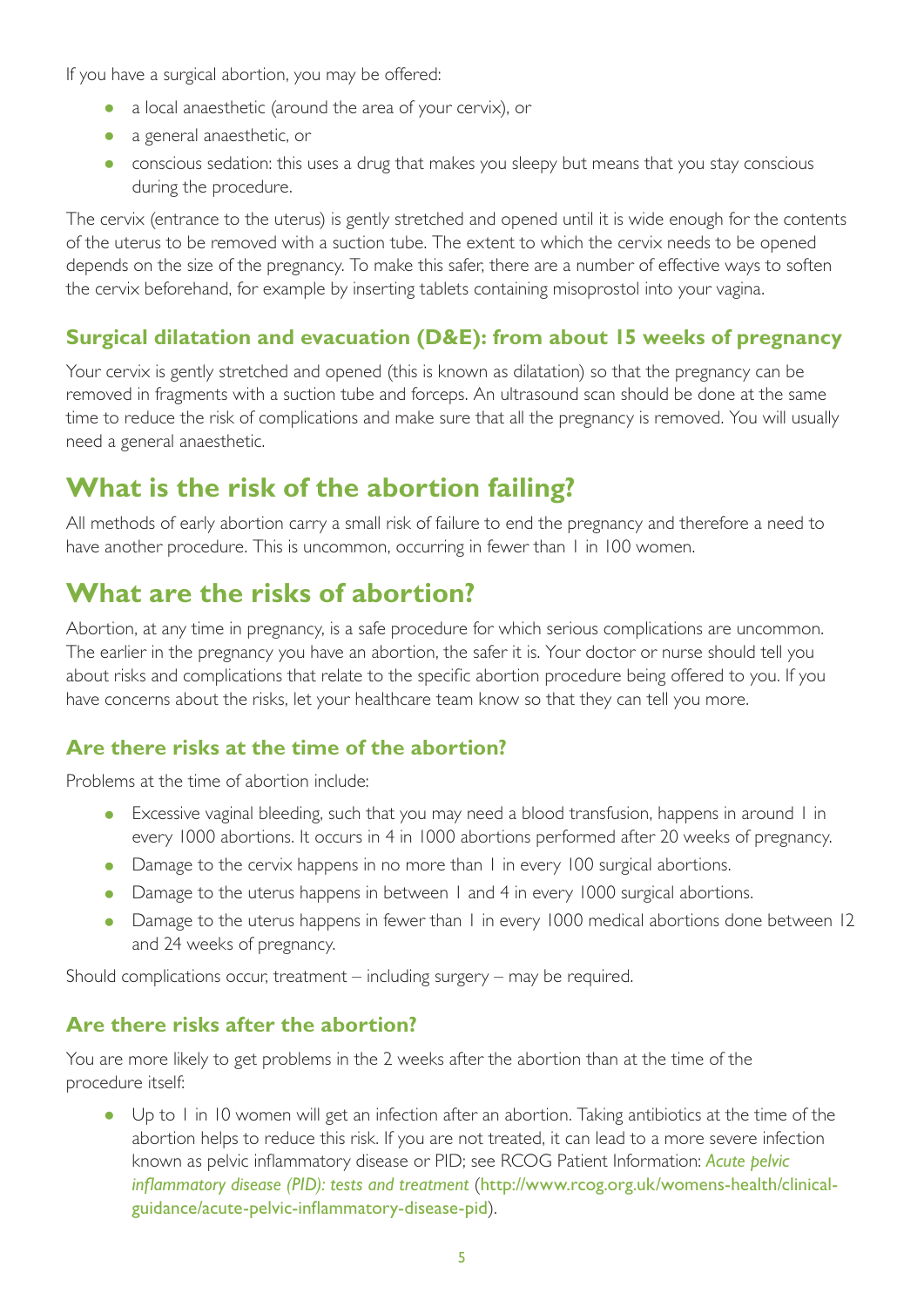If you have a surgical abortion, you may be offered:

- a local anaesthetic (around the area of your cervix), or
- a general anaesthetic, or
- conscious sedation: this uses a drug that makes you sleepy but means that you stay conscious during the procedure.

The cervix (entrance to the uterus) is gently stretched and opened until it is wide enough for the contents of the uterus to be removed with a suction tube. The extent to which the cervix needs to be opened depends on the size of the pregnancy. To make this safer, there are a number of effective ways to soften the cervix beforehand, for example by inserting tablets containing misoprostol into your vagina.

#### **Surgical dilatation and evacuation (D&E): from about 15 weeks of pregnancy**

Your cervix is gently stretched and opened (this is known as dilatation) so that the pregnancy can be removed in fragments with a suction tube and forceps. An ultrasound scan should be done at the same time to reduce the risk of complications and make sure that all the pregnancy is removed. You will usually need a general anaesthetic.

## **What is the risk of the abortion failing?**

All methods of early abortion carry a small risk of failure to end the pregnancy and therefore a need to have another procedure. This is uncommon, occurring in fewer than 1 in 100 women.

## **What are the risks of abortion?**

Abortion, at any time in pregnancy, is a safe procedure for which serious complications are uncommon. The earlier in the pregnancy you have an abortion, the safer it is. Your doctor or nurse should tell you about risks and complications that relate to the specific abortion procedure being offered to you. If you have concerns about the risks, let your healthcare team know so that they can tell you more.

#### **Are there risks at the time of the abortion?**

Problems at the time of abortion include:

- Excessive vaginal bleeding, such that you may need a blood transfusion, happens in around 1 in every 1000 abortions. It occurs in 4 in 1000 abortions performed after 20 weeks of pregnancy.
- Damage to the cervix happens in no more than I in every 100 surgical abortions.
- Damage to the uterus happens in between 1 and 4 in every 1000 surgical abortions.
- Damage to the uterus happens in fewer than 1 in every 1000 medical abortions done between 12 and 24 weeks of pregnancy.

Should complications occur, treatment – including surgery – may be required.

#### **Are there risks after the abortion?**

You are more likely to get problems in the 2 weeks after the abortion than at the time of the procedure itself:

• Up to 1 in 10 women will get an infection after an abortion. Taking antibiotics at the time of the abortion helps to reduce this risk. If you are not treated, it can lead to a more severe infection known as pelvic inflammatory disease or PID; see RCOG Patient Information: *Acute pelvic inflammatory disease (PID): tests and treatment* ([http://www.rcog.org.uk/womens-health/clinical](http://www.rcog.org.uk/womens-health/clinical-guidance/acute-pelvic-inflammatory-disease-pid)[guidance/acute-pelvic-inflammatory-disease-pid](http://www.rcog.org.uk/womens-health/clinical-guidance/acute-pelvic-inflammatory-disease-pid)).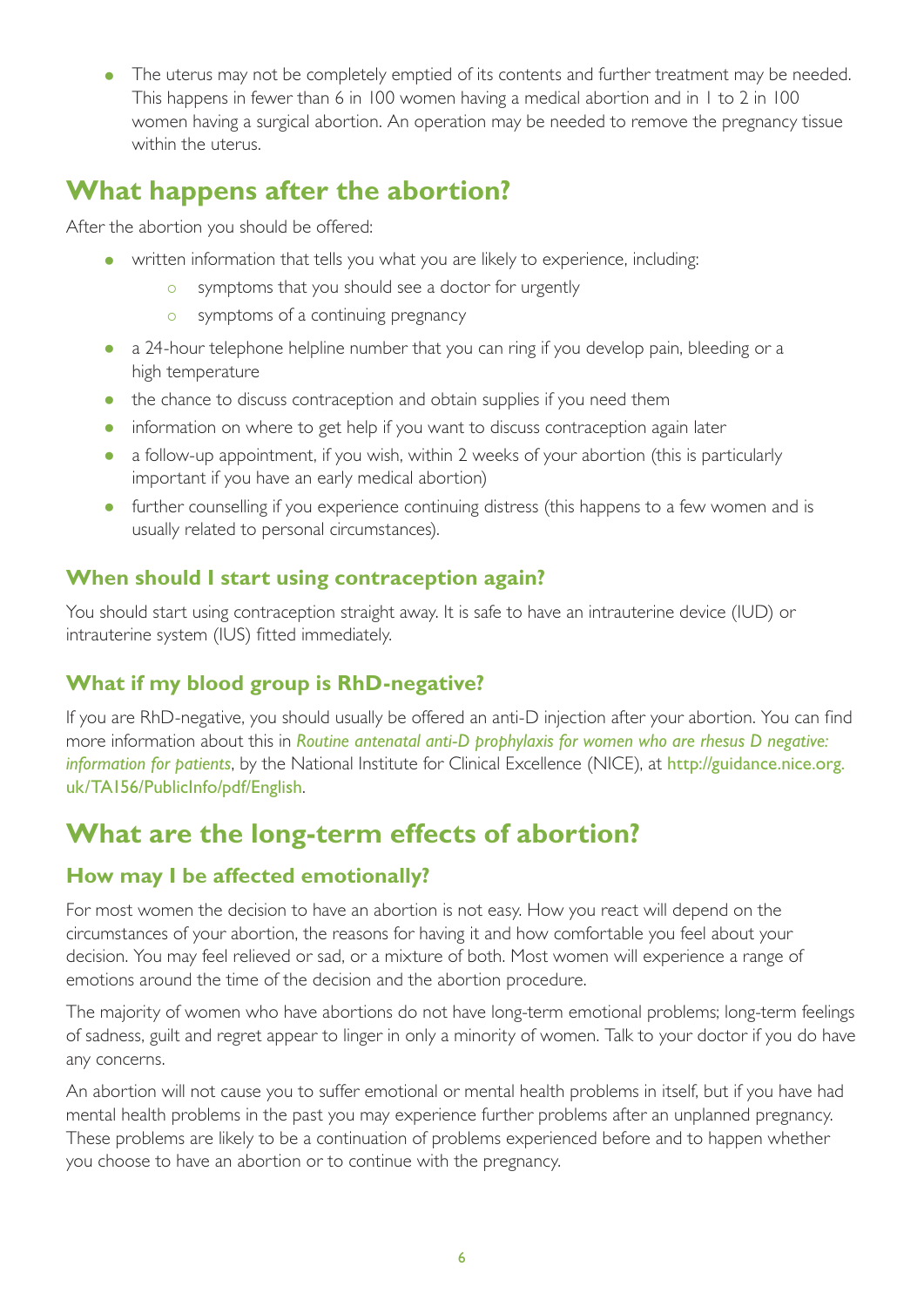• The uterus may not be completely emptied of its contents and further treatment may be needed. This happens in fewer than 6 in 100 women having a medical abortion and in 1 to 2 in 100 women having a surgical abortion. An operation may be needed to remove the pregnancy tissue within the uterus.

## **What happens after the abortion?**

After the abortion you should be offered:

- written information that tells you what you are likely to experience, including:
	- o symptoms that you should see a doctor for urgently
	- o symptoms of a continuing pregnancy
- a 24-hour telephone helpline number that you can ring if you develop pain, bleeding or a high temperature
- the chance to discuss contraception and obtain supplies if you need them
- information on where to get help if you want to discuss contraception again later
- a follow-up appointment, if you wish, within 2 weeks of your abortion (this is particularly important if you have an early medical abortion)
- further counselling if you experience continuing distress (this happens to a few women and is usually related to personal circumstances).

#### **When should I start using contraception again?**

You should start using contraception straight away. It is safe to have an intrauterine device (IUD) or intrauterine system (IUS) fitted immediately.

#### **What if my blood group is RhD-negative?**

If you are RhD-negative, you should usually be offered an anti-D injection after your abortion. You can find more information about this in *Routine antenatal anti-D prophylaxis for women who are rhesus D negative: information for patients*, by the National Institute for Clinical Excellence (NICE), at [http://guidance.nice.org.](http://guidance.nice.org.uk/TA156/PublicInfo/pdf/English) [uk/TA156/PublicInfo/pdf/English](http://guidance.nice.org.uk/TA156/PublicInfo/pdf/English).

## **What are the long-term effects of abortion?**

#### **How may I be affected emotionally?**

For most women the decision to have an abortion is not easy. How you react will depend on the circumstances of your abortion, the reasons for having it and how comfortable you feel about your decision. You may feel relieved or sad, or a mixture of both. Most women will experience a range of emotions around the time of the decision and the abortion procedure.

The majority of women who have abortions do not have long-term emotional problems; long-term feelings of sadness, guilt and regret appear to linger in only a minority of women. Talk to your doctor if you do have any concerns.

An abortion will not cause you to suffer emotional or mental health problems in itself, but if you have had mental health problems in the past you may experience further problems after an unplanned pregnancy. These problems are likely to be a continuation of problems experienced before and to happen whether you choose to have an abortion or to continue with the pregnancy.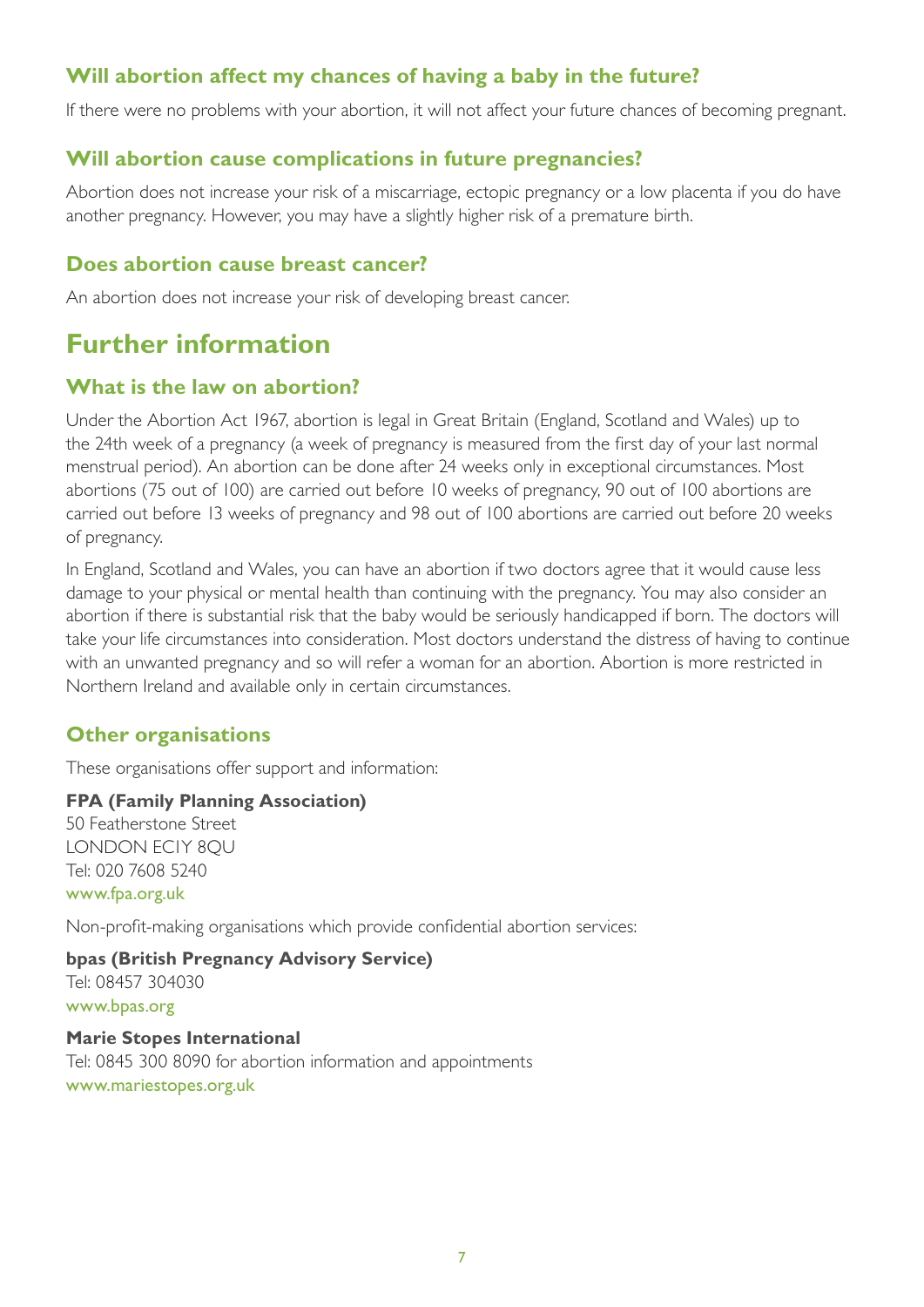#### **Will abortion affect my chances of having a baby in the future?**

If there were no problems with your abortion, it will not affect your future chances of becoming pregnant.

#### **Will abortion cause complications in future pregnancies?**

Abortion does not increase your risk of a miscarriage, ectopic pregnancy or a low placenta if you do have another pregnancy. However, you may have a slightly higher risk of a premature birth.

#### **Does abortion cause breast cancer?**

An abortion does not increase your risk of developing breast cancer.

## **Further information**

#### **What is the law on abortion?**

Under the Abortion Act 1967, abortion is legal in Great Britain (England, Scotland and Wales) up to the 24th week of a pregnancy (a week of pregnancy is measured from the first day of your last normal menstrual period). An abortion can be done after 24 weeks only in exceptional circumstances. Most abortions (75 out of 100) are carried out before 10 weeks of pregnancy, 90 out of 100 abortions are carried out before 13 weeks of pregnancy and 98 out of 100 abortions are carried out before 20 weeks of pregnancy.

In England, Scotland and Wales, you can have an abortion if two doctors agree that it would cause less damage to your physical or mental health than continuing with the pregnancy. You may also consider an abortion if there is substantial risk that the baby would be seriously handicapped if born. The doctors will take your life circumstances into consideration. Most doctors understand the distress of having to continue with an unwanted pregnancy and so will refer a woman for an abortion. Abortion is more restricted in Northern Ireland and available only in certain circumstances.

#### **Other organisations**

These organisations offer support and information:

#### **FPA (Family Planning Association)**

50 Featherstone Street LONDON EC1Y 8QU Tel: 020 7608 5240 [www.fpa.org.uk](http://www.fpa.org.uk/)

Non-profit-making organisations which provide confidential abortion services:

**bpas (British Pregnancy Advisory Service)** Tel: 08457 304030 [www.bpas.org](http://www.bpas.org/)

#### **Marie Stopes International**

Tel: 0845 300 8090 for abortion information and appointments [www.mariestopes.org.uk](http://www.mariestopes.org.uk/)